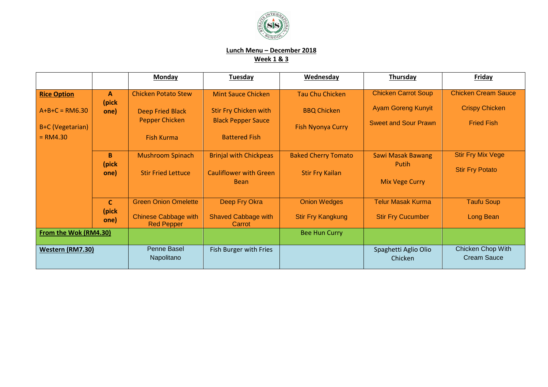

## **Lunch Menu – December 2018 Week 1 & 3**

|                         |                        | <b>Monday</b>                                    | <b>Tuesday</b>                               | Wednesday                  | <b>Thursday</b>                   | Friday                                  |
|-------------------------|------------------------|--------------------------------------------------|----------------------------------------------|----------------------------|-----------------------------------|-----------------------------------------|
| <b>Rice Option</b>      | A<br>(pick             | <b>Chicken Potato Stew</b>                       | <b>Mint Sauce Chicken</b>                    | Tau Chu Chicken            | <b>Chicken Carrot Soup</b>        | <b>Chicken Cream Sauce</b>              |
| $A+B+C = RM6.30$        | one)                   | Deep Fried Black                                 | <b>Stir Fry Chicken with</b>                 | <b>BBQ Chicken</b>         | <b>Ayam Goreng Kunyit</b>         | <b>Crispy Chicken</b>                   |
| <b>B+C</b> (Vegetarian) |                        | <b>Pepper Chicken</b>                            | <b>Black Pepper Sauce</b>                    | <b>Fish Nyonya Curry</b>   | <b>Sweet and Sour Prawn</b>       | <b>Fried Fish</b>                       |
| $= RM4.30$              |                        | <b>Fish Kurma</b>                                | <b>Battered Fish</b>                         |                            |                                   |                                         |
|                         | B<br>(pick             | <b>Mushroom Spinach</b>                          | <b>Brinjal with Chickpeas</b>                | <b>Baked Cherry Tomato</b> | <b>Sawi Masak Bawang</b><br>Putih | <b>Stir Fry Mix Vege</b>                |
|                         | one)                   | <b>Stir Fried Lettuce</b>                        | <b>Cauliflower with Green</b><br><b>Bean</b> | <b>Stir Fry Kailan</b>     | <b>Mix Vege Curry</b>             | <b>Stir Fry Potato</b>                  |
|                         |                        |                                                  |                                              |                            |                                   |                                         |
|                         | $\mathsf{C}$<br>(pick) | <b>Green Onion Omelette</b>                      | Deep Fry Okra                                | <b>Onion Wedges</b>        | <b>Telur Masak Kurma</b>          | <b>Taufu Soup</b>                       |
|                         | one)                   | <b>Chinese Cabbage with</b><br><b>Red Pepper</b> | <b>Shaved Cabbage with</b><br>Carrot         | <b>Stir Fry Kangkung</b>   | <b>Stir Fry Cucumber</b>          | Long Bean                               |
| From the Wok (RM4.30)   |                        |                                                  |                                              | <b>Bee Hun Curry</b>       |                                   |                                         |
| Western (RM7.30)        |                        | Penne Basel<br>Napolitano                        | Fish Burger with Fries                       |                            | Spaghetti Aglio Olio<br>Chicken   | Chicken Chop With<br><b>Cream Sauce</b> |